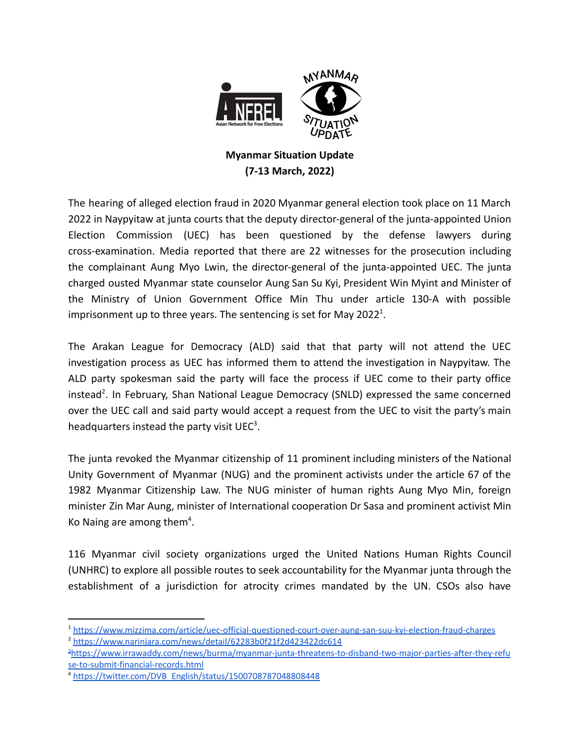

## **Myanmar Situation Update (7-13 March, 2022)**

The hearing of alleged election fraud in 2020 Myanmar general election took place on 11 March 2022 in Naypyitaw at junta courts that the deputy director-general of the junta-appointed Union Election Commission (UEC) has been questioned by the defense lawyers during cross-examination. Media reported that there are 22 witnesses for the prosecution including the complainant Aung Myo Lwin, the director-general of the junta-appointed UEC. The junta charged ousted Myanmar state counselor Aung San Su Kyi, President Win Myint and Minister of the Ministry of Union Government Office Min Thu under article 130-A with possible imprisonment up to three years. The sentencing is set for May 2022<sup>1</sup>.

The Arakan League for Democracy (ALD) said that that party will not attend the UEC investigation process as UEC has informed them to attend the investigation in Naypyitaw. The ALD party spokesman said the party will face the process if UEC come to their party office instead<sup>2</sup>. In February, Shan National League Democracy (SNLD) expressed the same concerned over the UEC call and said party would accept a request from the UEC to visit the party's main headquarters instead the party visit UEC<sup>3</sup>.

The junta revoked the Myanmar citizenship of 11 prominent including ministers of the National Unity Government of Myanmar (NUG) and the prominent activists under the article 67 of the 1982 Myanmar Citizenship Law. The NUG minister of human rights Aung Myo Min, foreign minister Zin Mar Aung, minister of International cooperation Dr Sasa and prominent activist Min Ko Naing are among them<sup>4</sup>.

116 Myanmar civil society organizations urged the United Nations Human Rights Council (UNHRC) to explore all possible routes to seek accountability for the Myanmar junta through the establishment of a jurisdiction for atrocity crimes mandated by the UN. CSOs also have

<sup>&</sup>lt;sup>2</sup> <https://www.narinjara.com/news/detail/62283b0f21f2d423422dc614> <sup>1</sup> <https://www.mizzima.com/article/uec-official-questioned-court-over-aung-san-suu-kyi-election-fraud-charges>

<sup>3</sup>[https://www.irrawaddy.com/news/burma/myanmar-junta-threatens-to-disband-two-major-parties-after-they-refu](https://www.irrawaddy.com/news/burma/myanmar-junta-threatens-to-disband-two-major-parties-after-they-refuse-to-submit-financial-records.html) [se-to-submit-financial-records.html](https://www.irrawaddy.com/news/burma/myanmar-junta-threatens-to-disband-two-major-parties-after-they-refuse-to-submit-financial-records.html)

<sup>4</sup> [https://twitter.com/DVB\\_English/status/1500708787048808448](https://twitter.com/DVB_English/status/1500708787048808448)